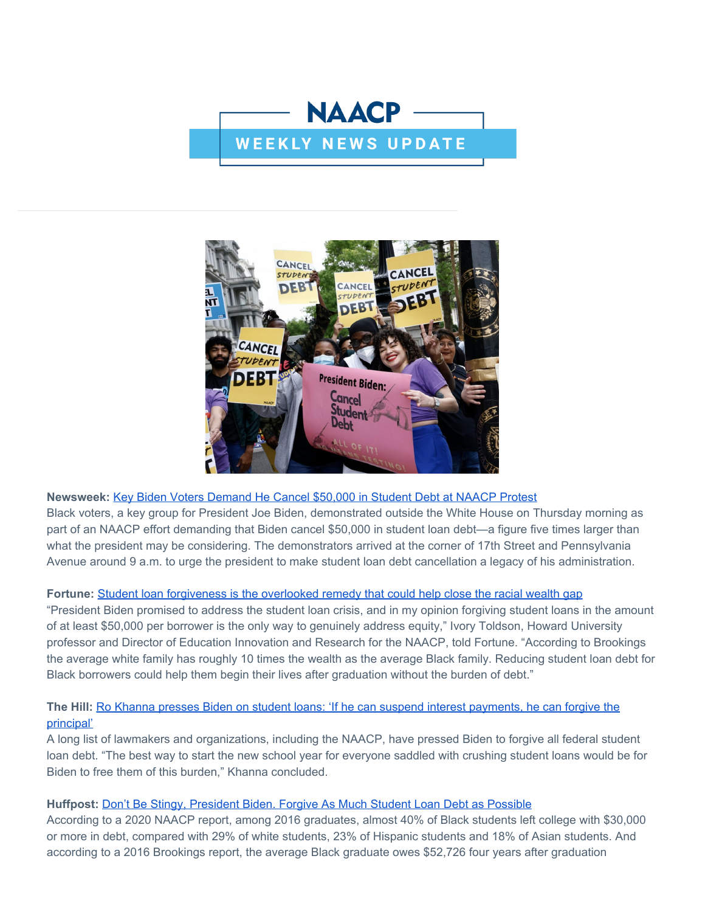



## **Newsweek:** [Key Biden Voters Demand He Cancel \\$50,000 in Student Debt at NAACP Protest](https://click.everyaction.com/k/45289638/345286117/724017284?nvep=ew0KICAiVGVuYW50VXJpIjogIm5ncHZhbjovL3Zhbi9UU00vVFNNTlAvMS8yODIzNiIsDQogICJEaXN0cmlidXRpb25VbmlxdWVJZCI6ICJiNTQxN2M3Ni0xMGQzLWVjMTEtYjY1Ni0yODE4NzhiOGMzMmYiLA0KICAiRW1haWxBZGRyZXNzIjogImVnYWQ4OEBob3RtYWlsLmNvbSINCn0%3D&hmac=VyDH9txrR9nB2GjTTKgo78MDu1moGFjmWkHsbxUMXWk=&emci=171729b9-cad2-ec11-b656-281878b8c32f&emdi=b5417c76-10d3-ec11-b656-281878b8c32f&ceid=3013724)

Black voters, a key group for President Joe Biden, demonstrated outside the White House on Thursday morning as part of an NAACP effort demanding that Biden cancel \$50,000 in student loan debt—a figure five times larger than what the president may be considering. The demonstrators arrived at the corner of 17th Street and Pennsylvania Avenue around 9 a.m. to urge the president to make student loan debt cancellation a legacy of his administration.

## Fortune: [Student loan forgiveness is the overlooked remedy that could help close the racial wealth gap](https://click.everyaction.com/k/45289639/345286118/790802330?nvep=ew0KICAiVGVuYW50VXJpIjogIm5ncHZhbjovL3Zhbi9UU00vVFNNTlAvMS8yODIzNiIsDQogICJEaXN0cmlidXRpb25VbmlxdWVJZCI6ICJiNTQxN2M3Ni0xMGQzLWVjMTEtYjY1Ni0yODE4NzhiOGMzMmYiLA0KICAiRW1haWxBZGRyZXNzIjogImVnYWQ4OEBob3RtYWlsLmNvbSINCn0%3D&hmac=VyDH9txrR9nB2GjTTKgo78MDu1moGFjmWkHsbxUMXWk=&emci=171729b9-cad2-ec11-b656-281878b8c32f&emdi=b5417c76-10d3-ec11-b656-281878b8c32f&ceid=3013724)

"President Biden promised to address the student loan crisis, and in my opinion forgiving student loans in the amount of at least \$50,000 per borrower is the only way to genuinely address equity," Ivory Toldson, Howard University professor and Director of Education Innovation and Research for the NAACP, told Fortune. "According to Brookings the average white family has roughly 10 times the wealth as the average Black family. Reducing student loan debt for Black borrowers could help them begin their lives after graduation without the burden of debt."

# **The Hill:** [Ro Khanna presses Biden on student loans: 'If he can suspend interest payments, he can forgive the](https://click.everyaction.com/k/45289640/345286121/1762015865?nvep=ew0KICAiVGVuYW50VXJpIjogIm5ncHZhbjovL3Zhbi9UU00vVFNNTlAvMS8yODIzNiIsDQogICJEaXN0cmlidXRpb25VbmlxdWVJZCI6ICJiNTQxN2M3Ni0xMGQzLWVjMTEtYjY1Ni0yODE4NzhiOGMzMmYiLA0KICAiRW1haWxBZGRyZXNzIjogImVnYWQ4OEBob3RtYWlsLmNvbSINCn0%3D&hmac=VyDH9txrR9nB2GjTTKgo78MDu1moGFjmWkHsbxUMXWk=&emci=171729b9-cad2-ec11-b656-281878b8c32f&emdi=b5417c76-10d3-ec11-b656-281878b8c32f&ceid=3013724) [principal'](https://click.everyaction.com/k/45289640/345286121/1762015865?nvep=ew0KICAiVGVuYW50VXJpIjogIm5ncHZhbjovL3Zhbi9UU00vVFNNTlAvMS8yODIzNiIsDQogICJEaXN0cmlidXRpb25VbmlxdWVJZCI6ICJiNTQxN2M3Ni0xMGQzLWVjMTEtYjY1Ni0yODE4NzhiOGMzMmYiLA0KICAiRW1haWxBZGRyZXNzIjogImVnYWQ4OEBob3RtYWlsLmNvbSINCn0%3D&hmac=VyDH9txrR9nB2GjTTKgo78MDu1moGFjmWkHsbxUMXWk=&emci=171729b9-cad2-ec11-b656-281878b8c32f&emdi=b5417c76-10d3-ec11-b656-281878b8c32f&ceid=3013724)

A long list of lawmakers and organizations, including the NAACP, have pressed Biden to forgive all federal student loan debt. "The best way to start the new school year for everyone saddled with crushing student loans would be for Biden to free them of this burden," Khanna concluded.

## **Huffpost:** [Don't Be Stingy, President Biden. Forgive As Much Student Loan Debt as Possible](https://click.everyaction.com/k/45289643/345286122/-1685889903?nvep=ew0KICAiVGVuYW50VXJpIjogIm5ncHZhbjovL3Zhbi9UU00vVFNNTlAvMS8yODIzNiIsDQogICJEaXN0cmlidXRpb25VbmlxdWVJZCI6ICJiNTQxN2M3Ni0xMGQzLWVjMTEtYjY1Ni0yODE4NzhiOGMzMmYiLA0KICAiRW1haWxBZGRyZXNzIjogImVnYWQ4OEBob3RtYWlsLmNvbSINCn0%3D&hmac=VyDH9txrR9nB2GjTTKgo78MDu1moGFjmWkHsbxUMXWk=&emci=171729b9-cad2-ec11-b656-281878b8c32f&emdi=b5417c76-10d3-ec11-b656-281878b8c32f&ceid=3013724)

According to a 2020 NAACP report, among 2016 graduates, almost 40% of Black students left college with \$30,000 or more in debt, compared with 29% of white students, 23% of Hispanic students and 18% of Asian students. And according to a 2016 Brookings report, the average Black graduate owes \$52,726 four years after graduation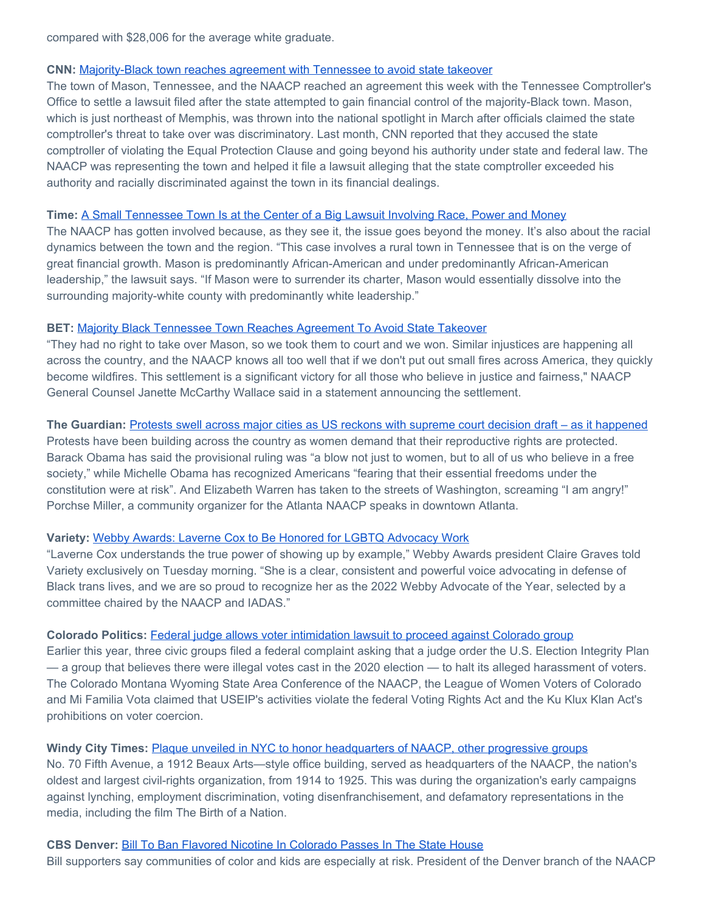compared with \$28,006 for the average white graduate.

#### **CNN:** [Majority-Black town reaches agreement with Tennessee to avoid state takeover](https://click.everyaction.com/k/45289653/345286130/77821530?nvep=ew0KICAiVGVuYW50VXJpIjogIm5ncHZhbjovL3Zhbi9UU00vVFNNTlAvMS8yODIzNiIsDQogICJEaXN0cmlidXRpb25VbmlxdWVJZCI6ICJiNTQxN2M3Ni0xMGQzLWVjMTEtYjY1Ni0yODE4NzhiOGMzMmYiLA0KICAiRW1haWxBZGRyZXNzIjogImVnYWQ4OEBob3RtYWlsLmNvbSINCn0%3D&hmac=VyDH9txrR9nB2GjTTKgo78MDu1moGFjmWkHsbxUMXWk=&emci=171729b9-cad2-ec11-b656-281878b8c32f&emdi=b5417c76-10d3-ec11-b656-281878b8c32f&ceid=3013724)

The town of Mason, Tennessee, and the NAACP reached an agreement this week with the Tennessee Comptroller's Office to settle a lawsuit filed after the state attempted to gain financial control of the majority-Black town. Mason, which is just northeast of Memphis, was thrown into the national spotlight in March after officials claimed the state comptroller's threat to take over was discriminatory. Last month, CNN reported that they accused the state comptroller of violating the Equal Protection Clause and going beyond his authority under state and federal law. The NAACP was representing the town and helped it file a lawsuit alleging that the state comptroller exceeded his authority and racially discriminated against the town in its financial dealings.

#### **Time:** [A Small Tennessee Town Is at the Center of a Big Lawsuit Involving Race, Power and Money](https://click.everyaction.com/k/45289655/345286138/-2115091315?nvep=ew0KICAiVGVuYW50VXJpIjogIm5ncHZhbjovL3Zhbi9UU00vVFNNTlAvMS8yODIzNiIsDQogICJEaXN0cmlidXRpb25VbmlxdWVJZCI6ICJiNTQxN2M3Ni0xMGQzLWVjMTEtYjY1Ni0yODE4NzhiOGMzMmYiLA0KICAiRW1haWxBZGRyZXNzIjogImVnYWQ4OEBob3RtYWlsLmNvbSINCn0%3D&hmac=VyDH9txrR9nB2GjTTKgo78MDu1moGFjmWkHsbxUMXWk=&emci=171729b9-cad2-ec11-b656-281878b8c32f&emdi=b5417c76-10d3-ec11-b656-281878b8c32f&ceid=3013724)

The NAACP has gotten involved because, as they see it, the issue goes beyond the money. It's also about the racial dynamics between the town and the region. "This case involves a rural town in Tennessee that is on the verge of great financial growth. Mason is predominantly African-American and under predominantly African-American leadership," the lawsuit says. "If Mason were to surrender its charter, Mason would essentially dissolve into the surrounding majority-white county with predominantly white leadership."

#### **BET:** [Majority Black Tennessee Town Reaches Agreement To Avoid State Takeover](https://click.everyaction.com/k/45289659/345286142/958394356?nvep=ew0KICAiVGVuYW50VXJpIjogIm5ncHZhbjovL3Zhbi9UU00vVFNNTlAvMS8yODIzNiIsDQogICJEaXN0cmlidXRpb25VbmlxdWVJZCI6ICJiNTQxN2M3Ni0xMGQzLWVjMTEtYjY1Ni0yODE4NzhiOGMzMmYiLA0KICAiRW1haWxBZGRyZXNzIjogImVnYWQ4OEBob3RtYWlsLmNvbSINCn0%3D&hmac=VyDH9txrR9nB2GjTTKgo78MDu1moGFjmWkHsbxUMXWk=&emci=171729b9-cad2-ec11-b656-281878b8c32f&emdi=b5417c76-10d3-ec11-b656-281878b8c32f&ceid=3013724)

"They had no right to take over Mason, so we took them to court and we won. Similar injustices are happening all across the country, and the NAACP knows all too well that if we don't put out small fires across America, they quickly become wildfires. This settlement is a significant victory for all those who believe in justice and fairness," NAACP General Counsel Janette McCarthy Wallace said in a statement announcing the settlement.

#### **The Guardian:** [Protests swell across major cities as US reckons with supreme court decision draft – as it happened](https://click.everyaction.com/k/45289671/345286150/-296079316?nvep=ew0KICAiVGVuYW50VXJpIjogIm5ncHZhbjovL3Zhbi9UU00vVFNNTlAvMS8yODIzNiIsDQogICJEaXN0cmlidXRpb25VbmlxdWVJZCI6ICJiNTQxN2M3Ni0xMGQzLWVjMTEtYjY1Ni0yODE4NzhiOGMzMmYiLA0KICAiRW1haWxBZGRyZXNzIjogImVnYWQ4OEBob3RtYWlsLmNvbSINCn0%3D&hmac=VyDH9txrR9nB2GjTTKgo78MDu1moGFjmWkHsbxUMXWk=&emci=171729b9-cad2-ec11-b656-281878b8c32f&emdi=b5417c76-10d3-ec11-b656-281878b8c32f&ceid=3013724)

Protests have been building across the country as women demand that their reproductive rights are protected. Barack Obama has said the provisional ruling was "a blow not just to women, but to all of us who believe in a free society," while Michelle Obama has recognized Americans "fearing that their essential freedoms under the constitution were at risk". And Elizabeth Warren has taken to the streets of Washington, screaming "I am angry!" Porchse Miller, a community organizer for the Atlanta NAACP speaks in downtown Atlanta.

## **Variety:** [Webby Awards: Laverne Cox to Be Honored for LGBTQ Advocacy Work](https://click.everyaction.com/k/45289680/345286160/-151944550?nvep=ew0KICAiVGVuYW50VXJpIjogIm5ncHZhbjovL3Zhbi9UU00vVFNNTlAvMS8yODIzNiIsDQogICJEaXN0cmlidXRpb25VbmlxdWVJZCI6ICJiNTQxN2M3Ni0xMGQzLWVjMTEtYjY1Ni0yODE4NzhiOGMzMmYiLA0KICAiRW1haWxBZGRyZXNzIjogImVnYWQ4OEBob3RtYWlsLmNvbSINCn0%3D&hmac=VyDH9txrR9nB2GjTTKgo78MDu1moGFjmWkHsbxUMXWk=&emci=171729b9-cad2-ec11-b656-281878b8c32f&emdi=b5417c76-10d3-ec11-b656-281878b8c32f&ceid=3013724)

"Laverne Cox understands the true power of showing up by example," Webby Awards president Claire Graves told Variety exclusively on Tuesday morning. "She is a clear, consistent and powerful voice advocating in defense of Black trans lives, and we are so proud to recognize her as the 2022 Webby Advocate of the Year, selected by a committee chaired by the NAACP and IADAS."

#### **Colorado Politics:** [Federal judge allows voter intimidation lawsuit to proceed against Colorado group](https://click.everyaction.com/k/45289693/345286171/263184789?nvep=ew0KICAiVGVuYW50VXJpIjogIm5ncHZhbjovL3Zhbi9UU00vVFNNTlAvMS8yODIzNiIsDQogICJEaXN0cmlidXRpb25VbmlxdWVJZCI6ICJiNTQxN2M3Ni0xMGQzLWVjMTEtYjY1Ni0yODE4NzhiOGMzMmYiLA0KICAiRW1haWxBZGRyZXNzIjogImVnYWQ4OEBob3RtYWlsLmNvbSINCn0%3D&hmac=VyDH9txrR9nB2GjTTKgo78MDu1moGFjmWkHsbxUMXWk=&emci=171729b9-cad2-ec11-b656-281878b8c32f&emdi=b5417c76-10d3-ec11-b656-281878b8c32f&ceid=3013724)

Earlier this year, three civic groups filed a federal complaint asking that a judge order the U.S. Election Integrity Plan — a group that believes there were illegal votes cast in the 2020 election — to halt its alleged harassment of voters. The Colorado Montana Wyoming State Area Conference of the NAACP, the League of Women Voters of Colorado and Mi Familia Vota claimed that USEIP's activities violate the federal Voting Rights Act and the Ku Klux Klan Act's prohibitions on voter coercion.

## **Windy City Times:** [Plaque unveiled in NYC to honor headquarters of NAACP, other progressive groups](https://click.everyaction.com/k/45289733/345286258/-1042677852?nvep=ew0KICAiVGVuYW50VXJpIjogIm5ncHZhbjovL3Zhbi9UU00vVFNNTlAvMS8yODIzNiIsDQogICJEaXN0cmlidXRpb25VbmlxdWVJZCI6ICJiNTQxN2M3Ni0xMGQzLWVjMTEtYjY1Ni0yODE4NzhiOGMzMmYiLA0KICAiRW1haWxBZGRyZXNzIjogImVnYWQ4OEBob3RtYWlsLmNvbSINCn0%3D&hmac=VyDH9txrR9nB2GjTTKgo78MDu1moGFjmWkHsbxUMXWk=&emci=171729b9-cad2-ec11-b656-281878b8c32f&emdi=b5417c76-10d3-ec11-b656-281878b8c32f&ceid=3013724)

No. 70 Fifth Avenue, a 1912 Beaux Arts—style office building, served as headquarters of the NAACP, the nation's oldest and largest civil-rights organization, from 1914 to 1925. This was during the organization's early campaigns against lynching, employment discrimination, voting disenfranchisement, and defamatory representations in the media, including the film The Birth of a Nation.

## **CBS Denver:** [Bill To Ban Flavored Nicotine In Colorado Passes In The State House](https://click.everyaction.com/k/45289754/345286316/1880523732?nvep=ew0KICAiVGVuYW50VXJpIjogIm5ncHZhbjovL3Zhbi9UU00vVFNNTlAvMS8yODIzNiIsDQogICJEaXN0cmlidXRpb25VbmlxdWVJZCI6ICJiNTQxN2M3Ni0xMGQzLWVjMTEtYjY1Ni0yODE4NzhiOGMzMmYiLA0KICAiRW1haWxBZGRyZXNzIjogImVnYWQ4OEBob3RtYWlsLmNvbSINCn0%3D&hmac=VyDH9txrR9nB2GjTTKgo78MDu1moGFjmWkHsbxUMXWk=&emci=171729b9-cad2-ec11-b656-281878b8c32f&emdi=b5417c76-10d3-ec11-b656-281878b8c32f&ceid=3013724)

Bill supporters say communities of color and kids are especially at risk. President of the Denver branch of the NAACP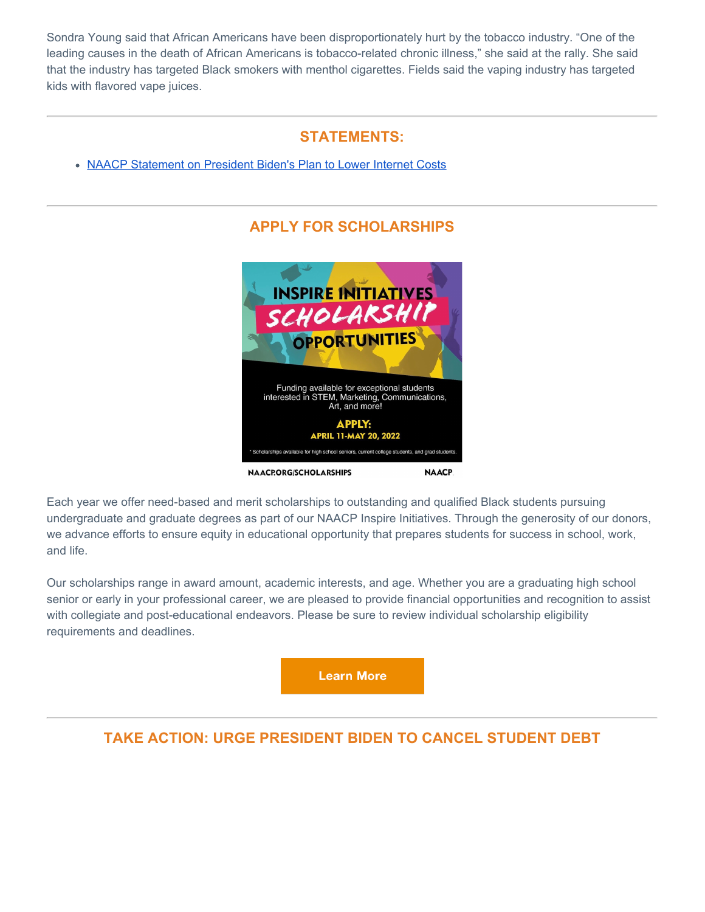Sondra Young said that African Americans have been disproportionately hurt by the tobacco industry. "One of the leading causes in the death of African Americans is tobacco-related chronic illness," she said at the rally. She said that the industry has targeted Black smokers with menthol cigarettes. Fields said the vaping industry has targeted kids with flavored vape juices.

# **STATEMENTS:**

[NAACP Statement on President Biden's Plan to Lower Internet Costs](https://click.everyaction.com/k/45289757/345286335/-522901505?nvep=ew0KICAiVGVuYW50VXJpIjogIm5ncHZhbjovL3Zhbi9UU00vVFNNTlAvMS8yODIzNiIsDQogICJEaXN0cmlidXRpb25VbmlxdWVJZCI6ICJiNTQxN2M3Ni0xMGQzLWVjMTEtYjY1Ni0yODE4NzhiOGMzMmYiLA0KICAiRW1haWxBZGRyZXNzIjogImVnYWQ4OEBob3RtYWlsLmNvbSINCn0%3D&hmac=VyDH9txrR9nB2GjTTKgo78MDu1moGFjmWkHsbxUMXWk=&emci=171729b9-cad2-ec11-b656-281878b8c32f&emdi=b5417c76-10d3-ec11-b656-281878b8c32f&ceid=3013724)

# **APPLY FOR SCHOLARSHIPS**



Each year we offer need-based and merit scholarships to outstanding and qualified Black students pursuing undergraduate and graduate degrees as part of our NAACP Inspire Initiatives. Through the generosity of our donors, we advance efforts to ensure equity in educational opportunity that prepares students for success in school, work, and life.

Our scholarships range in award amount, academic interests, and age. Whether you are a graduating high school senior or early in your professional career, we are pleased to provide financial opportunities and recognition to assist with collegiate and post-educational endeavors. Please be sure to review individual scholarship eligibility requirements and deadlines.

**Learn More** 

# **TAKE ACTION: URGE PRESIDENT BIDEN TO CANCEL STUDENT DEBT**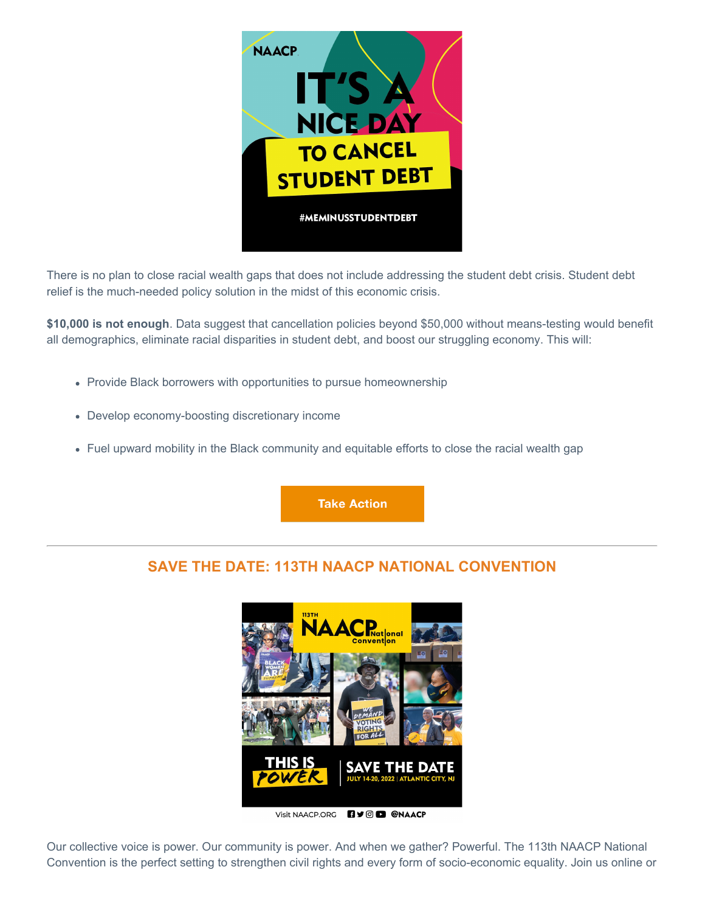

There is no plan to close racial wealth gaps that does not include addressing the student debt crisis. Student debt relief is the much-needed policy solution in the midst of this economic crisis.

**\$10,000 is not enough**. Data suggest that cancellation policies beyond \$50,000 without means-testing would benefit all demographics, eliminate racial disparities in student debt, and boost our struggling economy. This will:

- Provide Black borrowers with opportunities to pursue homeownership
- Develop economy-boosting discretionary income
- Fuel upward mobility in the Black community and equitable efforts to close the racial wealth gap

**Take Action** 

# **SAVE THE DATE: 113TH NAACP NATIONAL CONVENTION**



Visit NAACP.ORG **B**y @ @NAACP

Our collective voice is power. Our community is power. And when we gather? Powerful. The 113th NAACP National Convention is the perfect setting to strengthen civil rights and every form of socio-economic equality. Join us online or